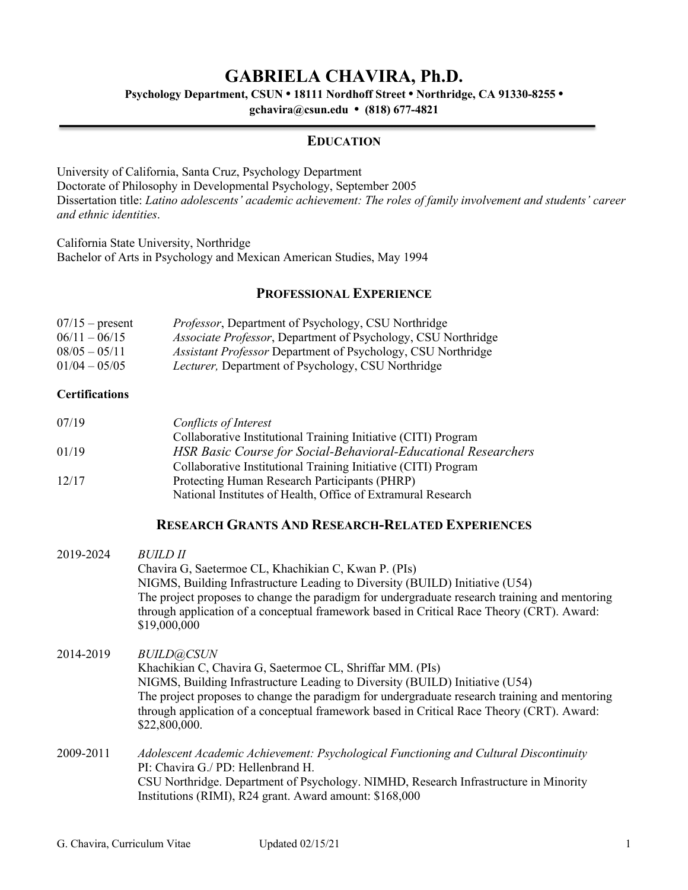# **GABRIELA CHAVIRA, Ph.D.**

**Psychology Department, CSUN • 18111 Nordhoff Street • Northridge, CA 91330-8255 •**

**gchavira@csun.edu • (818) 677-4821**

### **EDUCATION**

University of California, Santa Cruz, Psychology Department Doctorate of Philosophy in Developmental Psychology, September 2005 Dissertation title: *Latino adolescents' academic achievement: The roles of family involvement and students' career and ethnic identities*.

California State University, Northridge Bachelor of Arts in Psychology and Mexican American Studies, May 1994

## **PROFESSIONAL EXPERIENCE**

| $07/15$ – present | <i>Professor</i> , Department of Psychology, CSU Northridge           |
|-------------------|-----------------------------------------------------------------------|
| $06/11 - 06/15$   | <i>Associate Professor</i> , Department of Psychology, CSU Northridge |
| $08/05 - 05/11$   | <i>Assistant Professor</i> Department of Psychology, CSU Northridge   |
| $01/04 - 05/05$   | <i>Lecturer</i> , Department of Psychology, CSU Northridge            |

#### **Certifications**

| 07/19 | Conflicts of Interest                                                 |
|-------|-----------------------------------------------------------------------|
|       | Collaborative Institutional Training Initiative (CITI) Program        |
| 01/19 | <b>HSR Basic Course for Social-Behavioral-Educational Researchers</b> |
|       | Collaborative Institutional Training Initiative (CITI) Program        |
| 12/17 | Protecting Human Research Participants (PHRP)                         |
|       | National Institutes of Health, Office of Extramural Research          |

### **RESEARCH GRANTS AND RESEARCH-RELATED EXPERIENCES**

| 2019-2024 | <i>BUILD II</i>                                                                                                                                                                                             |
|-----------|-------------------------------------------------------------------------------------------------------------------------------------------------------------------------------------------------------------|
|           | Chavira G, Saetermoe CL, Khachikian C, Kwan P. (PIs)                                                                                                                                                        |
|           | NIGMS, Building Infrastructure Leading to Diversity (BUILD) Initiative (U54)                                                                                                                                |
|           | The project proposes to change the paradigm for undergraduate research training and mentoring<br>through application of a conceptual framework based in Critical Race Theory (CRT). Award:<br>\$19,000,000  |
| 2014-2019 | <b>BUILD@CSUN</b>                                                                                                                                                                                           |
|           | Khachikian C, Chavira G, Saetermoe CL, Shriffar MM. (PIs)                                                                                                                                                   |
|           | NIGMS, Building Infrastructure Leading to Diversity (BUILD) Initiative (U54)                                                                                                                                |
|           | The project proposes to change the paradigm for undergraduate research training and mentoring<br>through application of a conceptual framework based in Critical Race Theory (CRT). Award:<br>\$22,800,000. |
| 2009-2011 | Adolescent Academic Achievement: Psychological Functioning and Cultural Discontinuity                                                                                                                       |
|           | PI: Chavira G./PD: Hellenbrand H.                                                                                                                                                                           |
|           | CSU Northridge. Department of Psychology. NIMHD, Research Infrastructure in Minority<br>Institutions (RIMI), R24 grant. Award amount: \$168,000                                                             |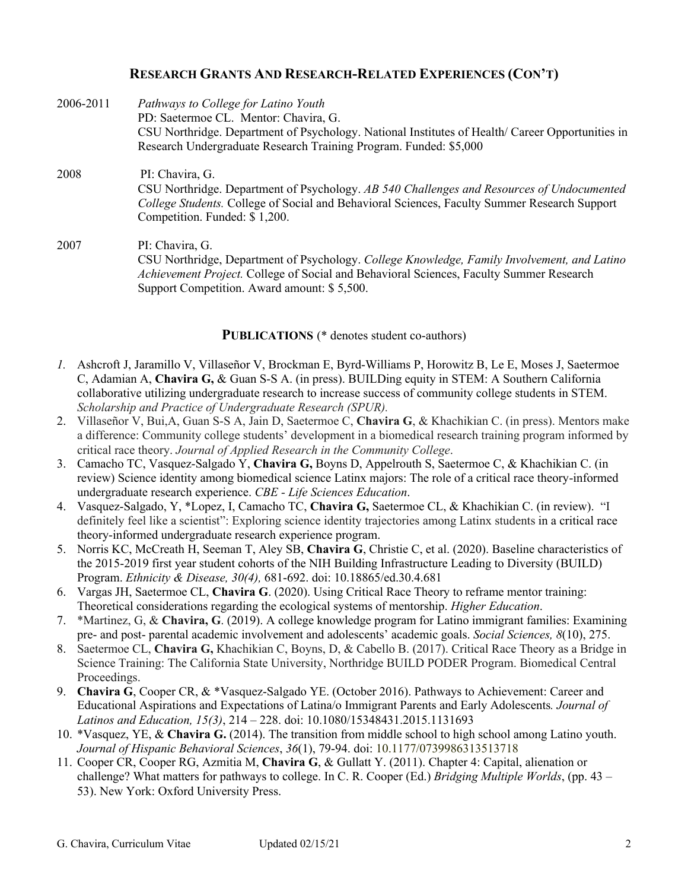## **RESEARCH GRANTS AND RESEARCH-RELATED EXPERIENCES (CON'T)**

| 2006-2011 | Pathways to College for Latino Youth                                                                                                                                                                                                          |
|-----------|-----------------------------------------------------------------------------------------------------------------------------------------------------------------------------------------------------------------------------------------------|
|           | PD: Saetermoe CL. Mentor: Chavira, G.                                                                                                                                                                                                         |
|           | CSU Northridge. Department of Psychology. National Institutes of Health/ Career Opportunities in                                                                                                                                              |
|           | Research Undergraduate Research Training Program. Funded: \$5,000                                                                                                                                                                             |
| 2008      | PI: Chavira, G.<br>CSU Northridge. Department of Psychology. AB 540 Challenges and Resources of Undocumented<br>College Students. College of Social and Behavioral Sciences, Faculty Summer Research Support<br>Competition. Funded: \$1,200. |
| 2007      | PI: Chavira, G.<br>CSU Northridge, Department of Psychology. College Knowledge, Family Involvement, and Latino                                                                                                                                |

*Achievement Project.* College of Social and Behavioral Sciences, Faculty Summer Research Support Competition. Award amount: \$ 5,500.

#### **PUBLICATIONS** (\* denotes student co-authors)

- *1.* Ashcroft J, Jaramillo V, Villaseñor V, Brockman E, Byrd-Williams P, Horowitz B, Le E, Moses J, Saetermoe C, Adamian A, **Chavira G,** & Guan S-S A. (in press). BUILDing equity in STEM: A Southern California collaborative utilizing undergraduate research to increase success of community college students in STEM. *Scholarship and Practice of Undergraduate Research (SPUR).*
- 2. Villaseñor V, Bui,A, Guan S-S A, Jain D, Saetermoe C, **Chavira G**, & Khachikian C. (in press). Mentors make a difference: Community college students' development in a biomedical research training program informed by critical race theory. *Journal of Applied Research in the Community College*.
- 3. Camacho TC, Vasquez-Salgado Y, **Chavira G,** Boyns D, Appelrouth S, Saetermoe C, & Khachikian C. (in review) Science identity among biomedical science Latinx majors: The role of a critical race theory-informed undergraduate research experience. *CBE - Life Sciences Education*.
- 4. Vasquez-Salgado, Y, \*Lopez, I, Camacho TC, **Chavira G,** Saetermoe CL, & Khachikian C. (in review). "I definitely feel like a scientist": Exploring science identity trajectories among Latinx students in a critical race theory-informed undergraduate research experience program.
- 5. Norris KC, McCreath H, Seeman T, Aley SB, **Chavira G**, Christie C, et al. (2020). Baseline characteristics of the 2015-2019 first year student cohorts of the NIH Building Infrastructure Leading to Diversity (BUILD) Program. *Ethnicity & Disease, 30(4),* 681-692. doi: 10.18865/ed.30.4.681
- 6. Vargas JH, Saetermoe CL, **Chavira G**. (2020). Using Critical Race Theory to reframe mentor training: Theoretical considerations regarding the ecological systems of mentorship. *Higher Education*.
- 7. \*Martinez, G, & **Chavira, G**. (2019). A college knowledge program for Latino immigrant families: Examining pre- and post- parental academic involvement and adolescents' academic goals. *Social Sciences, 8*(10), 275.
- 8. Saetermoe CL, **Chavira G,** Khachikian C, Boyns, D, & Cabello B. (2017). Critical Race Theory as a Bridge in Science Training: The California State University, Northridge BUILD PODER Program. Biomedical Central Proceedings.
- 9. **Chavira G**, Cooper CR, & \*Vasquez-Salgado YE. (October 2016). Pathways to Achievement: Career and Educational Aspirations and Expectations of Latina/o Immigrant Parents and Early Adolescents*. Journal of Latinos and Education, 15(3)*, 214 – 228. doi: 10.1080/15348431.2015.1131693
- 10. \*Vasquez, YE, & **Chavira G.** (2014). The transition from middle school to high school among Latino youth. *Journal of Hispanic Behavioral Sciences*, *36*(1), 79-94. doi: 10.1177/0739986313513718
- 11. Cooper CR, Cooper RG, Azmitia M, **Chavira G**, & Gullatt Y. (2011). Chapter 4: Capital, alienation or challenge? What matters for pathways to college. In C. R. Cooper (Ed.) *Bridging Multiple Worlds*, (pp. 43 – 53). New York: Oxford University Press.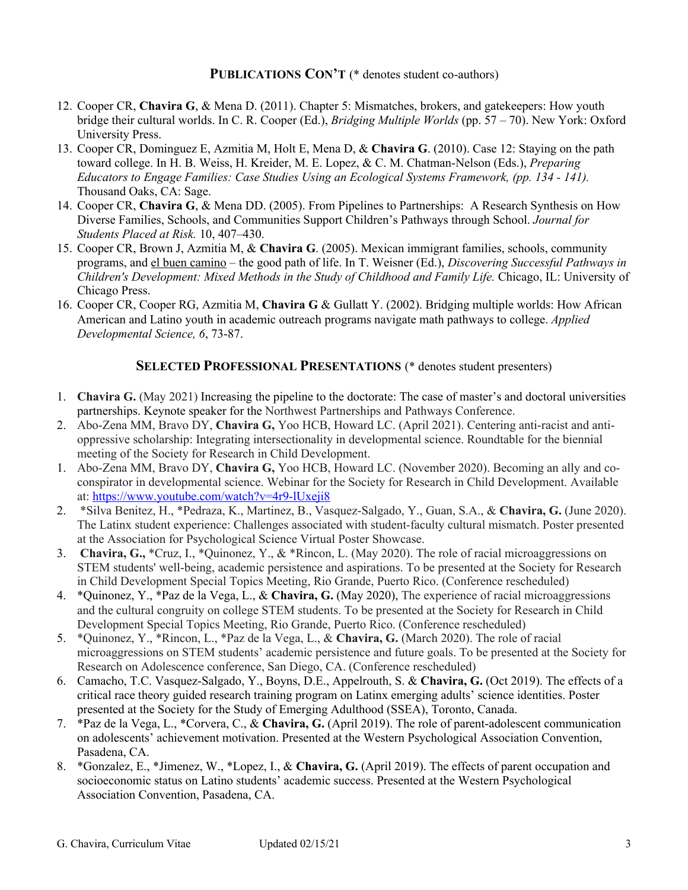**PUBLICATIONS CON'T** (\* denotes student co-authors)

- 12. Cooper CR, **Chavira G**, & Mena D. (2011). Chapter 5: Mismatches, brokers, and gatekeepers: How youth bridge their cultural worlds. In C. R. Cooper (Ed.), *Bridging Multiple Worlds* (pp. 57 – 70). New York: Oxford University Press.
- 13. Cooper CR, Dominguez E, Azmitia M, Holt E, Mena D, & **Chavira G**. (2010). Case 12: Staying on the path toward college. In H. B. Weiss, H. Kreider, M. E. Lopez, & C. M. Chatman-Nelson (Eds.), *Preparing Educators to Engage Families: Case Studies Using an Ecological Systems Framework, (pp. 134 - 141).* Thousand Oaks, CA: Sage.
- 14. Cooper CR, **Chavira G**, & Mena DD. (2005). From Pipelines to Partnerships: A Research Synthesis on How Diverse Families, Schools, and Communities Support Children's Pathways through School. *Journal for Students Placed at Risk.* 10, 407–430.
- 15. Cooper CR, Brown J, Azmitia M, & **Chavira G**. (2005). Mexican immigrant families, schools, community programs, and el buen camino – the good path of life. In T. Weisner (Ed.), *Discovering Successful Pathways in Children's Development: Mixed Methods in the Study of Childhood and Family Life.* Chicago, IL: University of Chicago Press.
- 16. Cooper CR, Cooper RG, Azmitia M, **Chavira G** & Gullatt Y. (2002). Bridging multiple worlds: How African American and Latino youth in academic outreach programs navigate math pathways to college. *Applied Developmental Science, 6*, 73-87.

## **SELECTED PROFESSIONAL PRESENTATIONS** (\* denotes student presenters)

- 1. **Chavira G.** (May 2021) Increasing the pipeline to the doctorate: The case of master's and doctoral universities partnerships. Keynote speaker for the Northwest Partnerships and Pathways Conference.
- 2. Abo-Zena MM, Bravo DY, **Chavira G,** Yoo HCB, Howard LC. (April 2021). Centering anti-racist and antioppressive scholarship: Integrating intersectionality in developmental science. Roundtable for the biennial meeting of the Society for Research in Child Development.
- 1. Abo-Zena MM, Bravo DY, **Chavira G,** Yoo HCB, Howard LC. (November 2020). Becoming an ally and coconspirator in developmental science. Webinar for the Society for Research in Child Development. Available at: https://www.youtube.com/watch?v=4r9-lUxeji8
- 2. \*Silva Benitez, H., \*Pedraza, K., Martinez, B., Vasquez-Salgado, Y., Guan, S.A., & **Chavira, G.** (June 2020). The Latinx student experience: Challenges associated with student-faculty cultural mismatch. Poster presented at the Association for Psychological Science Virtual Poster Showcase.
- 3. **Chavira, G.,** \*Cruz, I., \*Quinonez, Y., & \*Rincon, L. (May 2020). The role of racial microaggressions on STEM students' well-being, academic persistence and aspirations. To be presented at the Society for Research in Child Development Special Topics Meeting, Rio Grande, Puerto Rico. (Conference rescheduled)
- 4. \*Quinonez, Y., \*Paz de la Vega, L., & **Chavira, G.** (May 2020), The experience of racial microaggressions and the cultural congruity on college STEM students. To be presented at the Society for Research in Child Development Special Topics Meeting, Rio Grande, Puerto Rico. (Conference rescheduled)
- 5. \*Quinonez, Y., \*Rincon, L., \*Paz de la Vega, L., & **Chavira, G.** (March 2020). The role of racial microaggressions on STEM students' academic persistence and future goals. To be presented at the Society for Research on Adolescence conference, San Diego, CA. (Conference rescheduled)
- 6. Camacho, T.C. Vasquez-Salgado, Y., Boyns, D.E., Appelrouth, S. & **Chavira, G.** (Oct 2019). The effects of a critical race theory guided research training program on Latinx emerging adults' science identities. Poster presented at the Society for the Study of Emerging Adulthood (SSEA), Toronto, Canada.
- 7. \*Paz de la Vega, L., \*Corvera, C., & **Chavira, G.** (April 2019). The role of parent-adolescent communication on adolescents' achievement motivation. Presented at the Western Psychological Association Convention, Pasadena, CA.
- 8. \*Gonzalez, E., \*Jimenez, W., \*Lopez, I., & **Chavira, G.** (April 2019). The effects of parent occupation and socioeconomic status on Latino students' academic success. Presented at the Western Psychological Association Convention, Pasadena, CA.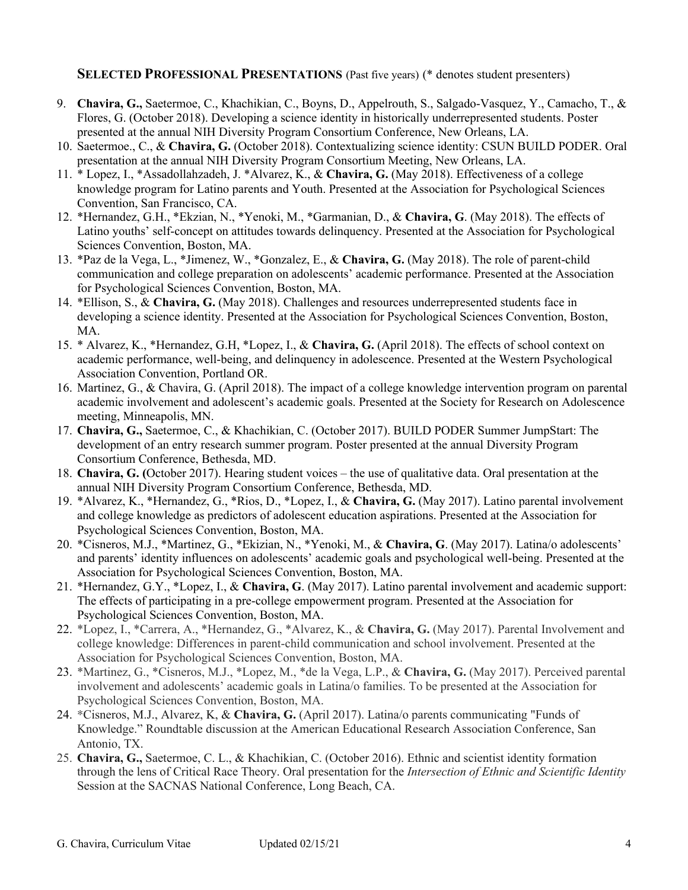#### **SELECTED PROFESSIONAL PRESENTATIONS** (Past five years) (\* denotes student presenters)

- 9. **Chavira, G.,** Saetermoe, C., Khachikian, C., Boyns, D., Appelrouth, S., Salgado-Vasquez, Y., Camacho, T., & Flores, G. (October 2018). Developing a science identity in historically underrepresented students. Poster presented at the annual NIH Diversity Program Consortium Conference, New Orleans, LA.
- 10. Saetermoe., C., & **Chavira, G.** (October 2018). Contextualizing science identity: CSUN BUILD PODER. Oral presentation at the annual NIH Diversity Program Consortium Meeting, New Orleans, LA.
- 11. \* Lopez, I., \*Assadollahzadeh, J. \*Alvarez, K., & **Chavira, G.** (May 2018). Effectiveness of a college knowledge program for Latino parents and Youth. Presented at the Association for Psychological Sciences Convention, San Francisco, CA.
- 12. \*Hernandez, G.H., \*Ekzian, N., \*Yenoki, M., \*Garmanian, D., & **Chavira, G**. (May 2018). The effects of Latino youths' self-concept on attitudes towards delinquency. Presented at the Association for Psychological Sciences Convention, Boston, MA.
- 13. \*Paz de la Vega, L., \*Jimenez, W., \*Gonzalez, E., & **Chavira, G.** (May 2018). The role of parent-child communication and college preparation on adolescents' academic performance. Presented at the Association for Psychological Sciences Convention, Boston, MA.
- 14. \*Ellison, S., & **Chavira, G.** (May 2018). Challenges and resources underrepresented students face in developing a science identity. Presented at the Association for Psychological Sciences Convention, Boston, MA.
- 15. \* Alvarez, K., \*Hernandez, G.H, \*Lopez, I., & **Chavira, G.** (April 2018). The effects of school context on academic performance, well-being, and delinquency in adolescence. Presented at the Western Psychological Association Convention, Portland OR.
- 16. Martinez, G., & Chavira, G. (April 2018). The impact of a college knowledge intervention program on parental academic involvement and adolescent's academic goals. Presented at the Society for Research on Adolescence meeting, Minneapolis, MN.
- 17. **Chavira, G.,** Saetermoe, C., & Khachikian, C. (October 2017). BUILD PODER Summer JumpStart: The development of an entry research summer program. Poster presented at the annual Diversity Program Consortium Conference, Bethesda, MD.
- 18. **Chavira, G. (**October 2017). Hearing student voices the use of qualitative data. Oral presentation at the annual NIH Diversity Program Consortium Conference, Bethesda, MD.
- 19. \*Alvarez, K., \*Hernandez, G., \*Rios, D., \*Lopez, I., & **Chavira, G.** (May 2017). Latino parental involvement and college knowledge as predictors of adolescent education aspirations. Presented at the Association for Psychological Sciences Convention, Boston, MA.
- 20. \*Cisneros, M.J., \*Martinez, G., \*Ekizian, N., \*Yenoki, M., & **Chavira, G**. (May 2017). Latina/o adolescents' and parents' identity influences on adolescents' academic goals and psychological well-being. Presented at the Association for Psychological Sciences Convention, Boston, MA.
- 21. \*Hernandez, G.Y., \*Lopez, I., & **Chavira, G**. (May 2017). Latino parental involvement and academic support: The effects of participating in a pre-college empowerment program. Presented at the Association for Psychological Sciences Convention, Boston, MA.
- 22. \*Lopez, I., \*Carrera, A., \*Hernandez, G., \*Alvarez, K., & **Chavira, G.** (May 2017). Parental Involvement and college knowledge: Differences in parent-child communication and school involvement. Presented at the Association for Psychological Sciences Convention, Boston, MA.
- 23. \*Martinez, G., \*Cisneros, M.J., \*Lopez, M., \*de la Vega, L.P., & **Chavira, G.** (May 2017). Perceived parental involvement and adolescents' academic goals in Latina/o families. To be presented at the Association for Psychological Sciences Convention, Boston, MA.
- 24. \*Cisneros, M.J., Alvarez, K, & **Chavira, G.** (April 2017). Latina/o parents communicating "Funds of Knowledge." Roundtable discussion at the American Educational Research Association Conference, San Antonio, TX.
- 25. **Chavira, G.,** Saetermoe, C. L., & Khachikian, C. (October 2016). Ethnic and scientist identity formation through the lens of Critical Race Theory. Oral presentation for the *Intersection of Ethnic and Scientific Identity*  Session at the SACNAS National Conference, Long Beach, CA.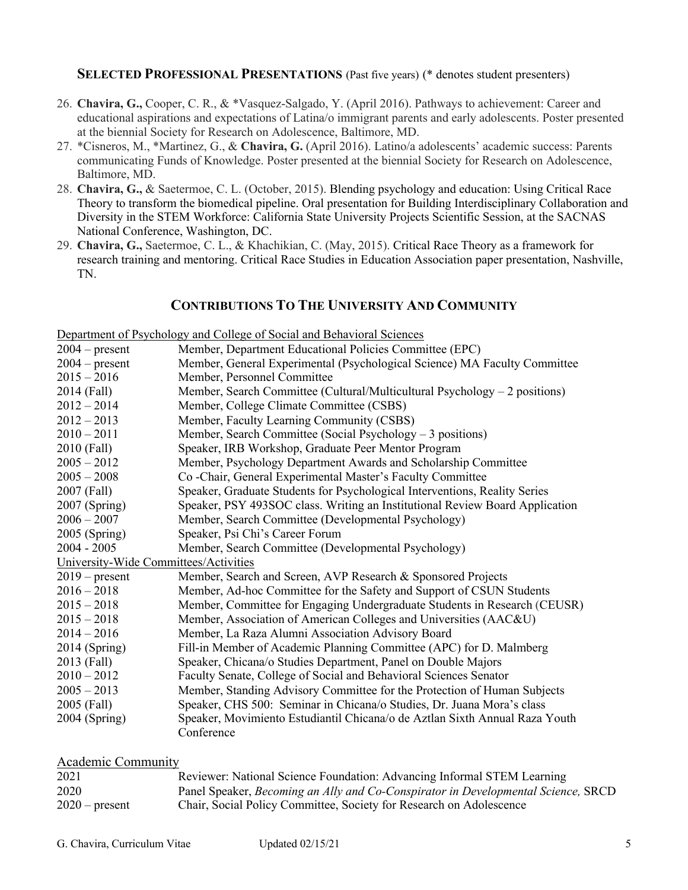#### **SELECTED PROFESSIONAL PRESENTATIONS** (Past five years) (\* denotes student presenters)

- 26. **Chavira, G.,** Cooper, C. R., & \*Vasquez-Salgado, Y. (April 2016). Pathways to achievement: Career and educational aspirations and expectations of Latina/o immigrant parents and early adolescents. Poster presented at the biennial Society for Research on Adolescence, Baltimore, MD.
- 27. \*Cisneros, M., \*Martinez, G., & **Chavira, G.** (April 2016). Latino/a adolescents' academic success: Parents communicating Funds of Knowledge. Poster presented at the biennial Society for Research on Adolescence, Baltimore, MD.
- 28. **Chavira, G.,** & Saetermoe, C. L. (October, 2015). Blending psychology and education: Using Critical Race Theory to transform the biomedical pipeline. Oral presentation for Building Interdisciplinary Collaboration and Diversity in the STEM Workforce: California State University Projects Scientific Session, at the SACNAS National Conference, Washington, DC.
- 29. **Chavira, G.,** Saetermoe, C. L., & Khachikian, C. (May, 2015). Critical Race Theory as a framework for research training and mentoring. Critical Race Studies in Education Association paper presentation, Nashville, TN.

## **CONTRIBUTIONS TO THE UNIVERSITY AND COMMUNITY**

Department of Psychology and College of Social and Behavioral Sciences

| $2004 - present$                      | Member, Department Educational Policies Committee (EPC)                      |
|---------------------------------------|------------------------------------------------------------------------------|
| $2004 - present$                      | Member, General Experimental (Psychological Science) MA Faculty Committee    |
| $2015 - 2016$                         | Member, Personnel Committee                                                  |
| 2014 (Fall)                           | Member, Search Committee (Cultural/Multicultural Psychology – 2 positions)   |
| $2012 - 2014$                         | Member, College Climate Committee (CSBS)                                     |
| $2012 - 2013$                         | Member, Faculty Learning Community (CSBS)                                    |
| $2010 - 2011$                         | Member, Search Committee (Social Psychology $-3$ positions)                  |
| 2010 (Fall)                           | Speaker, IRB Workshop, Graduate Peer Mentor Program                          |
| $2005 - 2012$                         | Member, Psychology Department Awards and Scholarship Committee               |
| $2005 - 2008$                         | Co-Chair, General Experimental Master's Faculty Committee                    |
| 2007 (Fall)                           | Speaker, Graduate Students for Psychological Interventions, Reality Series   |
| 2007 (Spring)                         | Speaker, PSY 493SOC class. Writing an Institutional Review Board Application |
| $2006 - 2007$                         | Member, Search Committee (Developmental Psychology)                          |
| $2005$ (Spring)                       | Speaker, Psi Chi's Career Forum                                              |
| $2004 - 2005$                         | Member, Search Committee (Developmental Psychology)                          |
| University-Wide Committees/Activities |                                                                              |
| $2019$ – present                      | Member, Search and Screen, AVP Research & Sponsored Projects                 |
| $2016 - 2018$                         | Member, Ad-hoc Committee for the Safety and Support of CSUN Students         |
| $2015 - 2018$                         | Member, Committee for Engaging Undergraduate Students in Research (CEUSR)    |
| $2015 - 2018$                         | Member, Association of American Colleges and Universities (AAC&U)            |
| $2014 - 2016$                         | Member, La Raza Alumni Association Advisory Board                            |
| 2014 (Spring)                         | Fill-in Member of Academic Planning Committee (APC) for D. Malmberg          |
| 2013 (Fall)                           | Speaker, Chicana/o Studies Department, Panel on Double Majors                |
| $2010 - 2012$                         | Faculty Senate, College of Social and Behavioral Sciences Senator            |
| $2005 - 2013$                         | Member, Standing Advisory Committee for the Protection of Human Subjects     |
| 2005 (Fall)                           | Speaker, CHS 500: Seminar in Chicana/o Studies, Dr. Juana Mora's class       |
| 2004 (Spring)                         | Speaker, Movimiento Estudiantil Chicana/o de Aztlan Sixth Annual Raza Youth  |
|                                       | Conference                                                                   |

### Academic Community

| 2021             | Reviewer: National Science Foundation: Advancing Informal STEM Learning           |
|------------------|-----------------------------------------------------------------------------------|
| 2020             | Panel Speaker, Becoming an Ally and Co-Conspirator in Developmental Science, SRCD |
| $2020$ – present | Chair, Social Policy Committee, Society for Research on Adolescence               |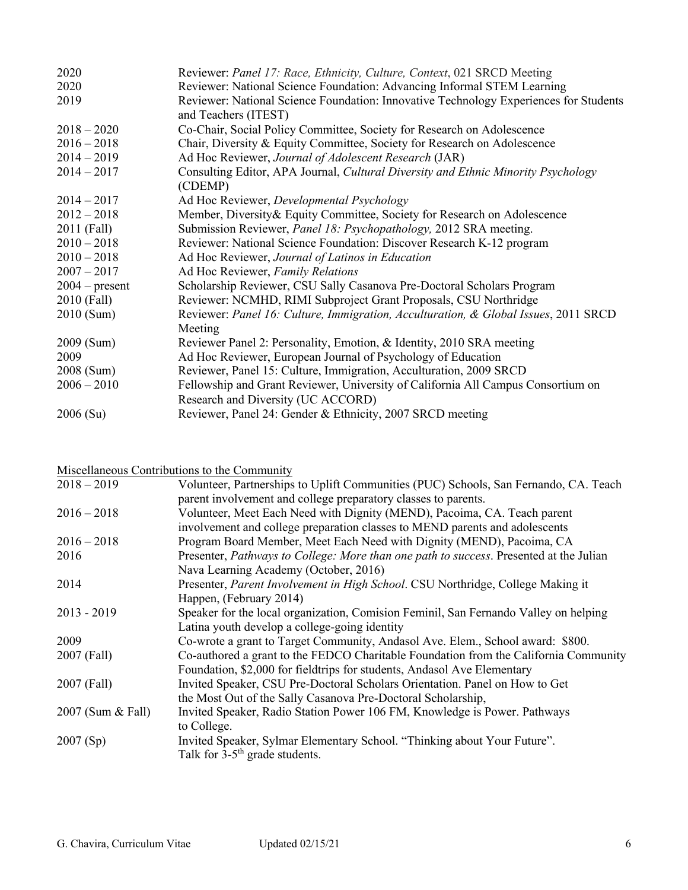| 2020             | Reviewer: Panel 17: Race, Ethnicity, Culture, Context, 021 SRCD Meeting                                                |
|------------------|------------------------------------------------------------------------------------------------------------------------|
| 2020             | Reviewer: National Science Foundation: Advancing Informal STEM Learning                                                |
| 2019             | Reviewer: National Science Foundation: Innovative Technology Experiences for Students<br>and Teachers (ITEST)          |
| $2018 - 2020$    | Co-Chair, Social Policy Committee, Society for Research on Adolescence                                                 |
| $2016 - 2018$    | Chair, Diversity & Equity Committee, Society for Research on Adolescence                                               |
| $2014 - 2019$    | Ad Hoc Reviewer, Journal of Adolescent Research (JAR)                                                                  |
| $2014 - 2017$    | Consulting Editor, APA Journal, Cultural Diversity and Ethnic Minority Psychology<br>(CDEMP)                           |
| $2014 - 2017$    | Ad Hoc Reviewer, Developmental Psychology                                                                              |
| $2012 - 2018$    | Member, Diversity & Equity Committee, Society for Research on Adolescence                                              |
| 2011 (Fall)      | Submission Reviewer, Panel 18: Psychopathology, 2012 SRA meeting.                                                      |
| $2010 - 2018$    | Reviewer: National Science Foundation: Discover Research K-12 program                                                  |
| $2010 - 2018$    | Ad Hoc Reviewer, Journal of Latinos in Education                                                                       |
| $2007 - 2017$    | Ad Hoc Reviewer, Family Relations                                                                                      |
| $2004$ – present | Scholarship Reviewer, CSU Sally Casanova Pre-Doctoral Scholars Program                                                 |
| 2010 (Fall)      | Reviewer: NCMHD, RIMI Subproject Grant Proposals, CSU Northridge                                                       |
| 2010 (Sum)       | Reviewer: Panel 16: Culture, Immigration, Acculturation, & Global Issues, 2011 SRCD                                    |
|                  | Meeting                                                                                                                |
| 2009 (Sum)       | Reviewer Panel 2: Personality, Emotion, & Identity, 2010 SRA meeting                                                   |
| 2009             | Ad Hoc Reviewer, European Journal of Psychology of Education                                                           |
| 2008 (Sum)       | Reviewer, Panel 15: Culture, Immigration, Acculturation, 2009 SRCD                                                     |
| $2006 - 2010$    | Fellowship and Grant Reviewer, University of California All Campus Consortium on<br>Research and Diversity (UC ACCORD) |
| 2006(Su)         | Reviewer, Panel 24: Gender & Ethnicity, 2007 SRCD meeting                                                              |

# Miscellaneous Contributions to the Community

| $2018 - 2019$     | Volunteer, Partnerships to Uplift Communities (PUC) Schools, San Fernando, CA. Teach   |
|-------------------|----------------------------------------------------------------------------------------|
|                   | parent involvement and college preparatory classes to parents.                         |
| $2016 - 2018$     | Volunteer, Meet Each Need with Dignity (MEND), Pacoima, CA. Teach parent               |
|                   | involvement and college preparation classes to MEND parents and adolescents            |
| $2016 - 2018$     | Program Board Member, Meet Each Need with Dignity (MEND), Pacoima, CA                  |
| 2016              | Presenter, Pathways to College: More than one path to success. Presented at the Julian |
|                   | Nava Learning Academy (October, 2016)                                                  |
| 2014              | Presenter, Parent Involvement in High School. CSU Northridge, College Making it        |
|                   | Happen, (February 2014)                                                                |
| $2013 - 2019$     | Speaker for the local organization, Comision Feminil, San Fernando Valley on helping   |
|                   | Latina youth develop a college-going identity                                          |
| 2009              | Co-wrote a grant to Target Community, Andasol Ave. Elem., School award: \$800.         |
| 2007 (Fall)       | Co-authored a grant to the FEDCO Charitable Foundation from the California Community   |
|                   | Foundation, \$2,000 for fieldtrips for students, Andasol Ave Elementary                |
| 2007 (Fall)       | Invited Speaker, CSU Pre-Doctoral Scholars Orientation. Panel on How to Get            |
|                   | the Most Out of the Sally Casanova Pre-Doctoral Scholarship,                           |
| 2007 (Sum & Fall) | Invited Speaker, Radio Station Power 106 FM, Knowledge is Power. Pathways              |
|                   | to College.                                                                            |
| 2007(Sp)          | Invited Speaker, Sylmar Elementary School. "Thinking about Your Future".               |
|                   | Talk for $3-5$ <sup>th</sup> grade students.                                           |